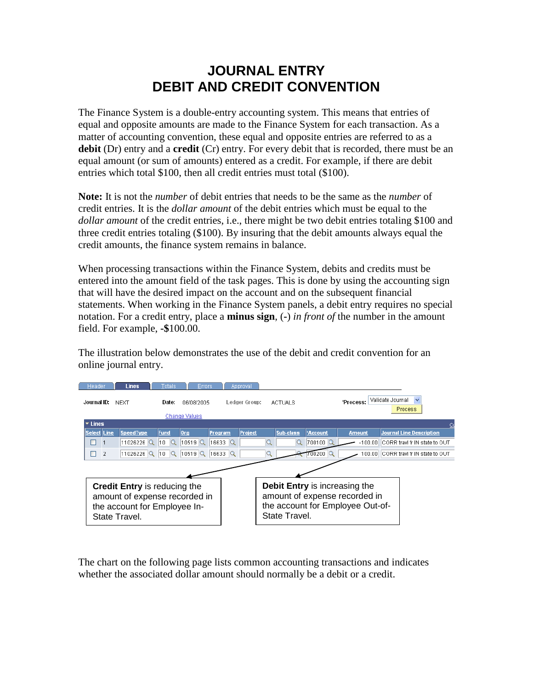## **JOURNAL ENTRY DEBIT AND CREDIT CONVENTION**

The Finance System is a double-entry accounting system. This means that entries of equal and opposite amounts are made to the Finance System for each transaction. As a matter of accounting convention, these equal and opposite entries are referred to as a **debit** (Dr) entry and a **credit** (Cr) entry. For every debit that is recorded, there must be an equal amount (or sum of amounts) entered as a credit. For example, if there are debit entries which total \$100, then all credit entries must total (\$100).

**Note:** It is not the *number* of debit entries that needs to be the same as the *number* of credit entries. It is the *dollar amount* of the debit entries which must be equal to the *dollar amount* of the credit entries, i.e., there might be two debit entries totaling \$100 and three credit entries totaling (\$100). By insuring that the debit amounts always equal the credit amounts, the finance system remains in balance.

When processing transactions within the Finance System, debits and credits must be entered into the amount field of the task pages. This is done by using the accounting sign that will have the desired impact on the account and on the subsequent financial statements. When working in the Finance System panels, a debit entry requires no special notation. For a credit entry, place a **minus sign**, (**-**) *in front of* the number in the amount field. For example, **-\$**100.00.

The illustration below demonstrates the use of the debit and credit convention for an online journal entry.



The chart on the following page lists common accounting transactions and indicates whether the associated dollar amount should normally be a debit or a credit.